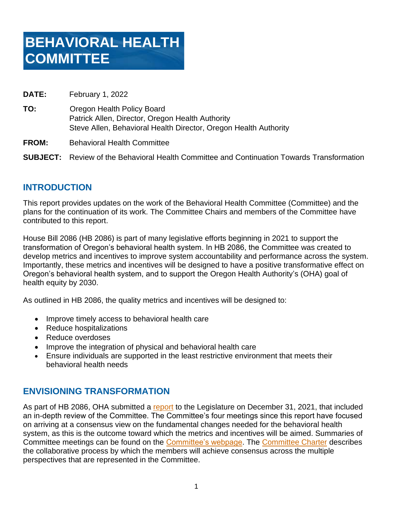| <b>DATE:</b> | February 1, 2022                                                                                                                                   |
|--------------|----------------------------------------------------------------------------------------------------------------------------------------------------|
| TO:          | Oregon Health Policy Board<br>Patrick Allen, Director, Oregon Health Authority<br>Steve Allen, Behavioral Health Director, Oregon Health Authority |
|              |                                                                                                                                                    |

**FROM:** Behavioral Health Committee

**SUBJECT:** Review of the Behavioral Health Committee and Continuation Towards Transformation

## **INTRODUCTION**

This report provides updates on the work of the Behavioral Health Committee (Committee) and the plans for the continuation of its work. The Committee Chairs and members of the Committee have contributed to this report.

House Bill 2086 (HB 2086) is part of many legislative efforts beginning in 2021 to support the transformation of Oregon's behavioral health system. In HB 2086, the Committee was created to develop metrics and incentives to improve system accountability and performance across the system. Importantly, these metrics and incentives will be designed to have a positive transformative effect on Oregon's behavioral health system, and to support the Oregon Health Authority's (OHA) goal of health equity by 2030.

As outlined in HB 2086, the quality metrics and incentives will be designed to:

- Improve timely access to behavioral health care
- Reduce hospitalizations
- Reduce overdoses
- Improve the integration of physical and behavioral health care
- Ensure individuals are supported in the least restrictive environment that meets their behavioral health needs

## **ENVISIONING TRANSFORMATION**

As part of HB 2086, OHA submitted a [report](https://www.oregon.gov/oha/HSD/BHP/Documents/HB2086-Report-2.pdf) to the Legislature on December 31, 2021, that included an in-depth review of the Committee. The Committee's four meetings since this report have focused on arriving at a consensus view on the fundamental changes needed for the behavioral health system, as this is the outcome toward which the metrics and incentives will be aimed. Summaries of Committee meetings can be found on the [Committee's webpage.](https://www.oregon.gov/oha/HSD/BHP/Pages/Behavioral-Health-Committee.aspx?utm_medium=email&utm_source=govdelivery) The [Committee Charter](https://www.oregon.gov/oha/HSD/BHP/Documents/BHC-Charter.pdf) describes the collaborative process by which the members will achieve consensus across the multiple perspectives that are represented in the Committee.